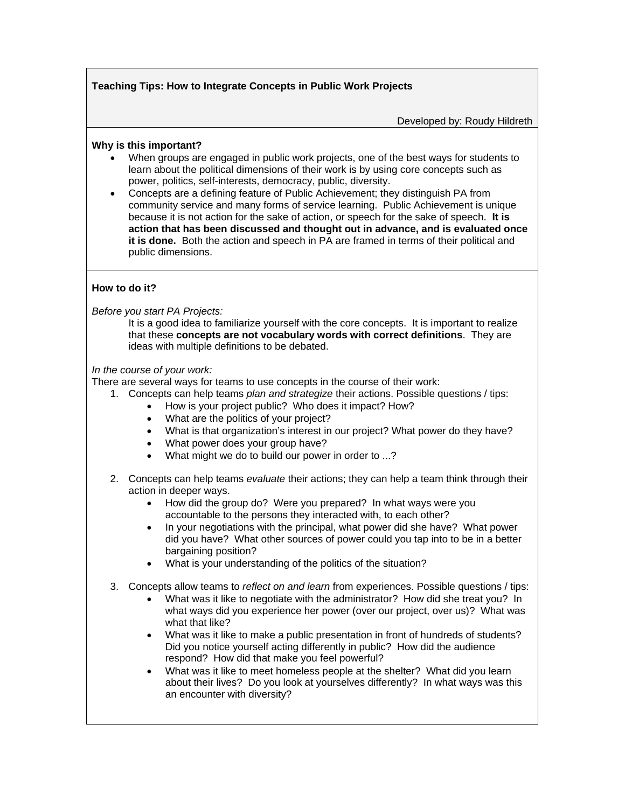## **Teaching Tips: How to Integrate Concepts in Public Work Projects**

Developed by: Roudy Hildreth

## **Why is this important?**

- When groups are engaged in public work projects, one of the best ways for students to learn about the political dimensions of their work is by using core concepts such as power, politics, self-interests, democracy, public, diversity.
- Concepts are a defining feature of Public Achievement; they distinguish PA from community service and many forms of service learning. Public Achievement is unique because it is not action for the sake of action, or speech for the sake of speech. **It is action that has been discussed and thought out in advance, and is evaluated once it is done.** Both the action and speech in PA are framed in terms of their political and public dimensions.

## **How to do it?**

*Before you start PA Projects:* 

It is a good idea to familiarize yourself with the core concepts. It is important to realize that these **concepts are not vocabulary words with correct definitions**. They are ideas with multiple definitions to be debated.

*In the course of your work:* 

There are several ways for teams to use concepts in the course of their work:

- 1. Concepts can help teams *plan and strategize* their actions. Possible questions / tips:
	- How is your project public? Who does it impact? How?
	- What are the politics of your project?
	- What is that organization's interest in our project? What power do they have?
	- What power does your group have?
	- What might we do to build our power in order to ...?
- 2. Concepts can help teams *evaluate* their actions; they can help a team think through their action in deeper ways.
	- How did the group do? Were you prepared? In what ways were you accountable to the persons they interacted with, to each other?
	- In your negotiations with the principal, what power did she have? What power did you have? What other sources of power could you tap into to be in a better bargaining position?
	- What is your understanding of the politics of the situation?
- 3. Concepts allow teams to *reflect on and learn* from experiences. Possible questions / tips:
	- What was it like to negotiate with the administrator? How did she treat you? In what ways did you experience her power (over our project, over us)? What was what that like?
	- What was it like to make a public presentation in front of hundreds of students? Did you notice yourself acting differently in public? How did the audience respond? How did that make you feel powerful?
	- What was it like to meet homeless people at the shelter? What did you learn about their lives? Do you look at yourselves differently? In what ways was this an encounter with diversity?